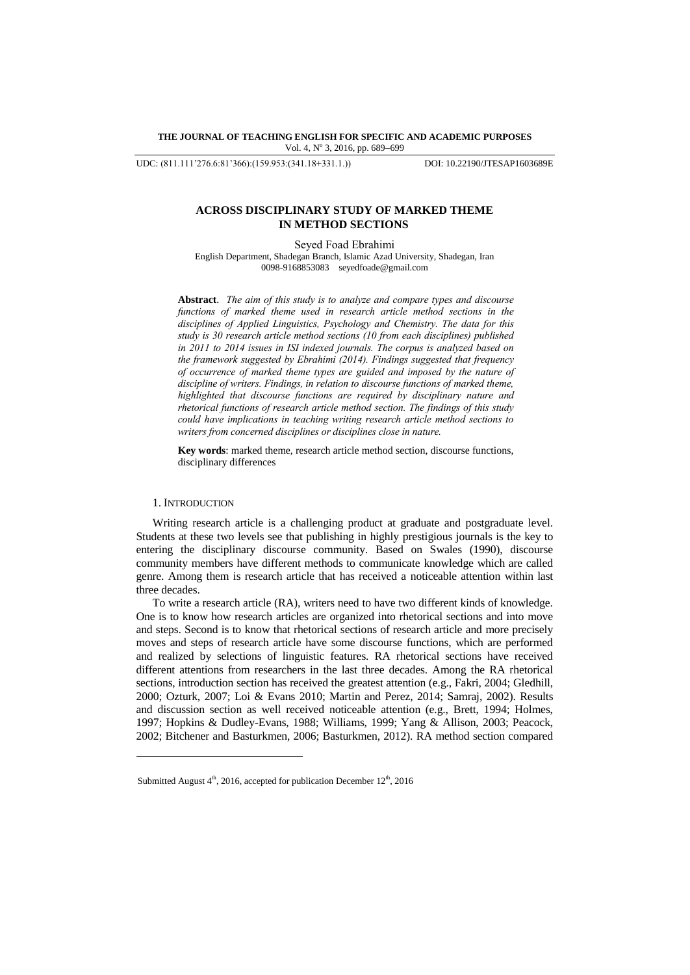## **THE JOURNAL OF TEACHING ENGLISH FOR SPECIFIC AND ACADEMIC PURPOSES** Vol. 4, Nº 3, 2016, pp. 689-699

UDC: (811.111'276.6:81'366):(159.953:(341.18+331.1.)) DOI: 10.22190/JTESAP1603689E

## **ACROSS DISCIPLINARY STUDY OF MARKED THEME IN METHOD SECTIONS**

Seyed Foad Ebrahimi English Department, Shadegan Branch, Islamic Azad University, Shadegan, Iran 0098-9168853083 [seyedfoade@gmail.com](mailto:seyedfoade@gmail.com)

**Abstract**.*The aim of this study is to analyze and compare types and discourse functions of marked theme used in research article method sections in the disciplines of Applied Linguistics, Psychology and Chemistry. The data for this study is 30 research article method sections (10 from each disciplines) published in 2011 to 2014 issues in ISI indexed journals. The corpus is analyzed based on the framework suggested by Ebrahimi (2014). Findings suggested that frequency of occurrence of marked theme types are guided and imposed by the nature of discipline of writers. Findings, in relation to discourse functions of marked theme, highlighted that discourse functions are required by disciplinary nature and rhetorical functions of research article method section. The findings of this study could have implications in teaching writing research article method sections to writers from concerned disciplines or disciplines close in nature.*

**Key words**: marked theme, research article method section, discourse functions, disciplinary differences

## 1. INTRODUCTION

l

Writing research article is a challenging product at graduate and postgraduate level. Students at these two levels see that publishing in highly prestigious journals is the key to entering the disciplinary discourse community. Based on Swales (1990), discourse community members have different methods to communicate knowledge which are called genre. Among them is research article that has received a noticeable attention within last three decades.

To write a research article (RA), writers need to have two different kinds of knowledge. One is to know how research articles are organized into rhetorical sections and into move and steps. Second is to know that rhetorical sections of research article and more precisely moves and steps of research article have some discourse functions, which are performed and realized by selections of linguistic features. RA rhetorical sections have received different attentions from researchers in the last three decades. Among the RA rhetorical sections, introduction section has received the greatest attention (e.g., Fakri, 2004; Gledhill, 2000; Ozturk, 2007; Loi & Evans 2010; Martin and Perez, 2014; Samraj, 2002). Results and discussion section as well received noticeable attention (e.g., Brett, 1994; Holmes, 1997; Hopkins & Dudley-Evans, 1988; Williams, 1999; Yang & Allison, 2003; Peacock, 2002; Bitchener and Basturkmen, 2006; Basturkmen, 2012). RA method section compared

Submitted August  $4<sup>th</sup>$ , 2016, accepted for publication December 12<sup>th</sup>, 2016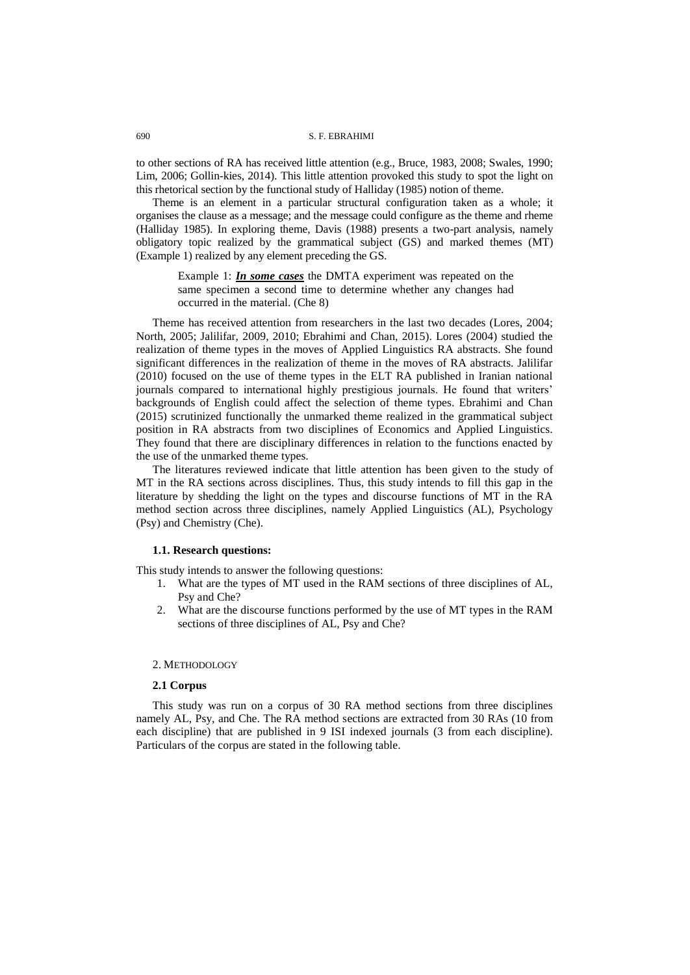to other sections of RA has received little attention (e.g., Bruce, 1983, 2008; Swales, 1990; Lim, 2006; Gollin-kies, 2014). This little attention provoked this study to spot the light on this rhetorical section by the functional study of Halliday (1985) notion of theme.

Theme is an element in a particular structural configuration taken as a whole; it organises the clause as a message; and the message could configure as the theme and rheme (Halliday 1985). In exploring theme, Davis (1988) presents a two-part analysis, namely obligatory topic realized by the grammatical subject (GS) and marked themes (MT) (Example 1) realized by any element preceding the GS.

Example 1: *In some cases* the DMTA experiment was repeated on the same specimen a second time to determine whether any changes had occurred in the material. (Che 8)

Theme has received attention from researchers in the last two decades (Lores, 2004; North, 2005; Jalilifar, 2009, 2010; Ebrahimi and Chan, 2015). Lores (2004) studied the realization of theme types in the moves of Applied Linguistics RA abstracts. She found significant differences in the realization of theme in the moves of RA abstracts. Jalilifar (2010) focused on the use of theme types in the ELT RA published in Iranian national journals compared to international highly prestigious journals. He found that writers' backgrounds of English could affect the selection of theme types. Ebrahimi and Chan (2015) scrutinized functionally the unmarked theme realized in the grammatical subject position in RA abstracts from two disciplines of Economics and Applied Linguistics. They found that there are disciplinary differences in relation to the functions enacted by the use of the unmarked theme types.

The literatures reviewed indicate that little attention has been given to the study of MT in the RA sections across disciplines. Thus, this study intends to fill this gap in the literature by shedding the light on the types and discourse functions of MT in the RA method section across three disciplines, namely Applied Linguistics (AL), Psychology (Psy) and Chemistry (Che).

## **1.1. Research questions:**

This study intends to answer the following questions:

- 1. What are the types of MT used in the RAM sections of three disciplines of AL, Psy and Che?
- 2. What are the discourse functions performed by the use of MT types in the RAM sections of three disciplines of AL, Psy and Che?

## 2. METHODOLOGY

### **2.1 Corpus**

This study was run on a corpus of 30 RA method sections from three disciplines namely AL, Psy, and Che. The RA method sections are extracted from 30 RAs (10 from each discipline) that are published in 9 ISI indexed journals (3 from each discipline). Particulars of the corpus are stated in the following table.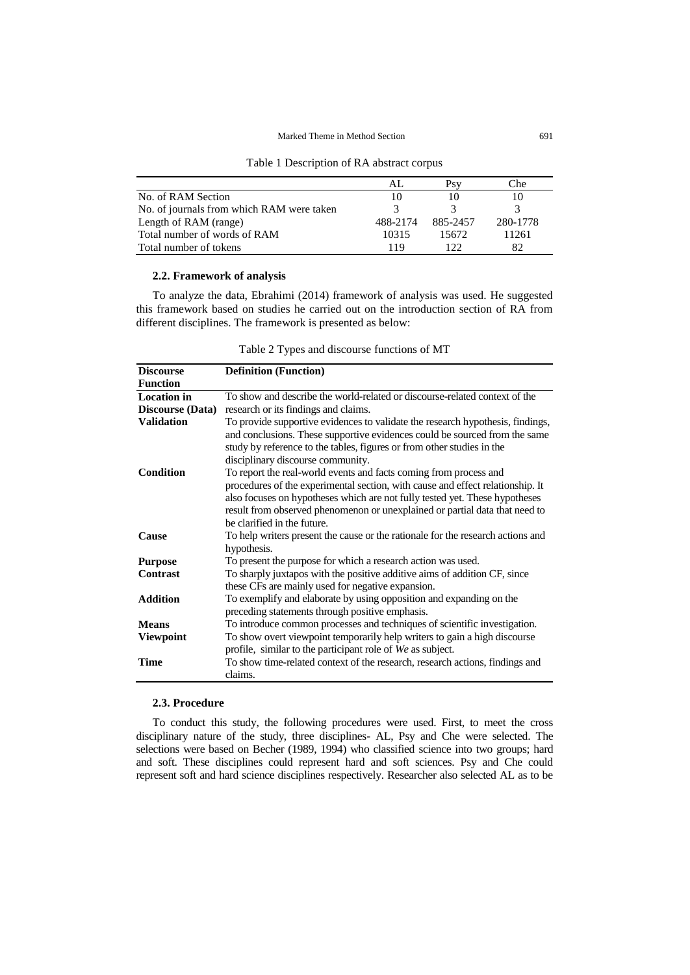Table 1 Description of RA abstract corpus

|                                           | ΑI       |          | Che      |
|-------------------------------------------|----------|----------|----------|
| No. of RAM Section                        |          |          |          |
| No. of journals from which RAM were taken |          |          |          |
| Length of RAM (range)                     | 488-2174 | 885-2457 | 280-1778 |
| Total number of words of RAM              | 10315    | 15672    | 11261    |
| Total number of tokens                    | 119      | 122      | 82       |

## **2.2. Framework of analysis**

To analyze the data, Ebrahimi (2014) framework of analysis was used. He suggested this framework based on studies he carried out on the introduction section of RA from different disciplines. The framework is presented as below:

| Table 2 Types and discourse functions of MT |  |  |  |
|---------------------------------------------|--|--|--|
|---------------------------------------------|--|--|--|

| <b>Discourse</b>        | <b>Definition</b> (Function)                                                                                                                                                                                                                 |
|-------------------------|----------------------------------------------------------------------------------------------------------------------------------------------------------------------------------------------------------------------------------------------|
| <b>Function</b>         |                                                                                                                                                                                                                                              |
| <b>Location</b> in      | To show and describe the world-related or discourse-related context of the                                                                                                                                                                   |
| <b>Discourse</b> (Data) | research or its findings and claims.                                                                                                                                                                                                         |
| <b>Validation</b>       | To provide supportive evidences to validate the research hypothesis, findings,                                                                                                                                                               |
|                         | and conclusions. These supportive evidences could be sourced from the same<br>study by reference to the tables, figures or from other studies in the<br>disciplinary discourse community.                                                    |
| <b>Condition</b>        | To report the real-world events and facts coming from process and                                                                                                                                                                            |
|                         | procedures of the experimental section, with cause and effect relationship. It<br>also focuses on hypotheses which are not fully tested yet. These hypotheses<br>result from observed phenomenon or unexplained or partial data that need to |
|                         | be clarified in the future.                                                                                                                                                                                                                  |
| <b>Cause</b>            | To help writers present the cause or the rationale for the research actions and<br>hypothesis.                                                                                                                                               |
| <b>Purpose</b>          | To present the purpose for which a research action was used.                                                                                                                                                                                 |
| <b>Contrast</b>         | To sharply juxtapos with the positive additive aims of addition CF, since<br>these CFs are mainly used for negative expansion.                                                                                                               |
| <b>Addition</b>         | To exemplify and elaborate by using opposition and expanding on the<br>preceding statements through positive emphasis.                                                                                                                       |
| <b>Means</b>            | To introduce common processes and techniques of scientific investigation.                                                                                                                                                                    |
| <b>Viewpoint</b>        | To show overt viewpoint temporarily help writers to gain a high discourse                                                                                                                                                                    |
|                         | profile, similar to the participant role of We as subject.                                                                                                                                                                                   |
| <b>Time</b>             | To show time-related context of the research, research actions, findings and<br>claims.                                                                                                                                                      |

# **2.3. Procedure**

To conduct this study, the following procedures were used. First, to meet the cross disciplinary nature of the study, three disciplines- AL, Psy and Che were selected. The selections were based on Becher (1989, 1994) who classified science into two groups; hard and soft. These disciplines could represent hard and soft sciences. Psy and Che could represent soft and hard science disciplines respectively. Researcher also selected AL as to be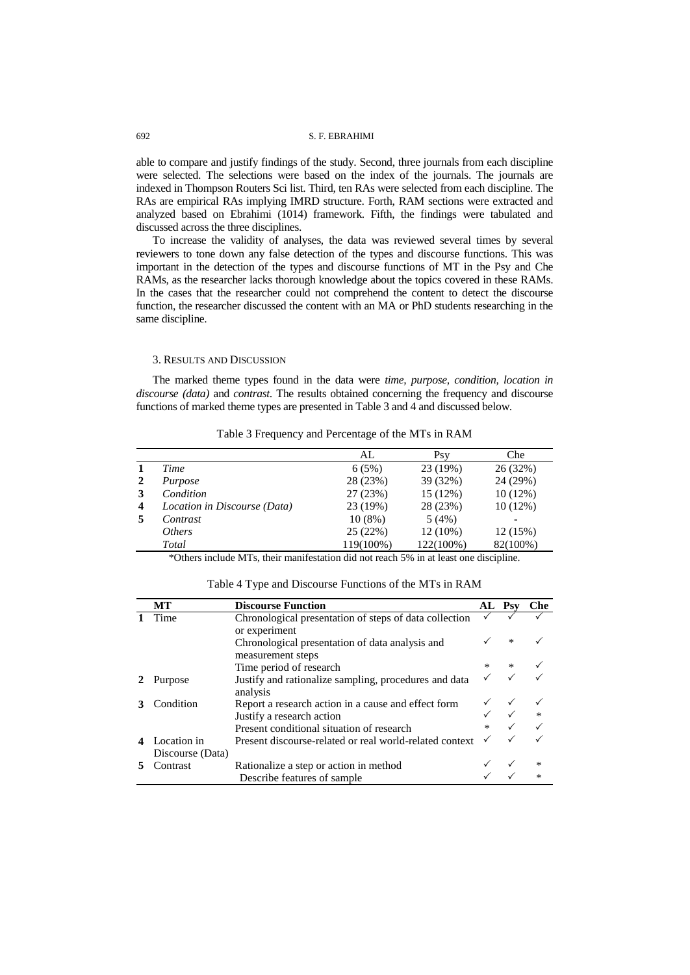able to compare and justify findings of the study. Second, three journals from each discipline were selected. The selections were based on the index of the journals. The journals are indexed in Thompson Routers Sci list. Third, ten RAs were selected from each discipline. The RAs are empirical RAs implying IMRD structure. Forth, RAM sections were extracted and analyzed based on Ebrahimi (1014) framework. Fifth, the findings were tabulated and discussed across the three disciplines.

To increase the validity of analyses, the data was reviewed several times by several reviewers to tone down any false detection of the types and discourse functions. This was important in the detection of the types and discourse functions of MT in the Psy and Che RAMs, as the researcher lacks thorough knowledge about the topics covered in these RAMs. In the cases that the researcher could not comprehend the content to detect the discourse function, the researcher discussed the content with an MA or PhD students researching in the same discipline.

### 3. RESULTS AND DISCUSSION

The marked theme types found in the data were *time, purpose, condition, location in discourse (data)* and *contrast*. The results obtained concerning the frequency and discourse functions of marked theme types are presented in Table 3 and 4 and discussed below.

|   |                              | AL.       | Psv        | Che        |
|---|------------------------------|-----------|------------|------------|
|   | Time                         | 6(5%)     | 23 (19%)   | 26 (32%)   |
|   | Purpose                      | 28 (23%)  | 39 (32%)   | 24 (29%)   |
|   | Condition                    | 27(23%)   | 15(12%)    | $10(12\%)$ |
| 4 | Location in Discourse (Data) | 23 (19%)  | 28 (23%)   | $10(12\%)$ |
|   | Contrast                     | $10(8\%)$ | 5(4%)      |            |
|   | <i>Others</i>                | 25(22%)   | $12(10\%)$ | 12(15%)    |
|   | Total                        | 119(100%) | 122(100%)  | 82(100%)   |

Table 3 Frequency and Percentage of the MTs in RAM

\*Others include MTs, their manifestation did not reach 5% in at least one discipline.

| Table 4 Type and Discourse Functions of the MTs in RAM |  |  |
|--------------------------------------------------------|--|--|
|--------------------------------------------------------|--|--|

| МT               | <b>Discourse Function</b>                               | AL            | <b>Psy</b>                  | <b>Che</b> |
|------------------|---------------------------------------------------------|---------------|-----------------------------|------------|
| Time             | Chronological presentation of steps of data collection  |               |                             |            |
|                  | or experiment                                           |               |                             |            |
|                  | Chronological presentation of data analysis and         |               | $\star$                     |            |
|                  | measurement steps                                       |               |                             |            |
|                  | Time period of research                                 |               | $*$                         |            |
| Purpose          | Justify and rationalize sampling, procedures and data   |               |                             |            |
|                  | analysis                                                |               |                             |            |
| Condition        | Report a research action in a cause and effect form     |               |                             |            |
|                  | Justify a research action                               |               | $\checkmark$ $\checkmark$ * |            |
|                  | Present conditional situation of research               | $\mathcal{H}$ |                             |            |
| Location in      | Present discourse-related or real world-related context |               |                             |            |
| Discourse (Data) |                                                         |               |                             |            |
| Contrast         | Rationalize a step or action in method                  |               |                             |            |
|                  | Describe features of sample.                            |               |                             |            |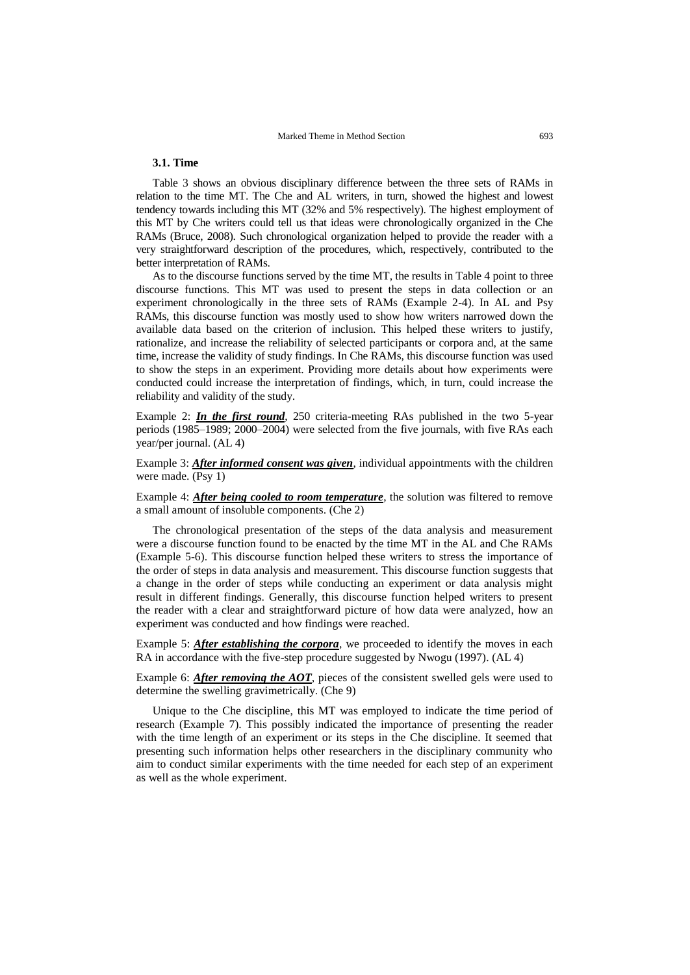## **3.1. Time**

Table 3 shows an obvious disciplinary difference between the three sets of RAMs in relation to the time MT. The Che and AL writers, in turn, showed the highest and lowest tendency towards including this MT (32% and 5% respectively). The highest employment of this MT by Che writers could tell us that ideas were chronologically organized in the Che RAMs (Bruce, 2008). Such chronological organization helped to provide the reader with a very straightforward description of the procedures, which, respectively, contributed to the better interpretation of RAMs.

As to the discourse functions served by the time MT, the results in Table 4 point to three discourse functions. This MT was used to present the steps in data collection or an experiment chronologically in the three sets of RAMs (Example 2-4). In AL and Psy RAMs, this discourse function was mostly used to show how writers narrowed down the available data based on the criterion of inclusion. This helped these writers to justify, rationalize, and increase the reliability of selected participants or corpora and, at the same time, increase the validity of study findings. In Che RAMs, this discourse function was used to show the steps in an experiment. Providing more details about how experiments were conducted could increase the interpretation of findings, which, in turn, could increase the reliability and validity of the study.

Example 2: *In the first round*, 250 criteria-meeting RAs published in the two 5-year periods (1985–1989; 2000–2004) were selected from the five journals, with five RAs each year/per journal. (AL 4)

Example 3: *After informed consent was given*, individual appointments with the children were made. (Psy 1)

Example 4: *After being cooled to room temperature*, the solution was filtered to remove a small amount of insoluble components. (Che 2)

The chronological presentation of the steps of the data analysis and measurement were a discourse function found to be enacted by the time MT in the AL and Che RAMs (Example 5-6). This discourse function helped these writers to stress the importance of the order of steps in data analysis and measurement. This discourse function suggests that a change in the order of steps while conducting an experiment or data analysis might result in different findings. Generally, this discourse function helped writers to present the reader with a clear and straightforward picture of how data were analyzed, how an experiment was conducted and how findings were reached.

Example 5: *After establishing the corpora*, we proceeded to identify the moves in each RA in accordance with the five-step procedure suggested by Nwogu (1997). (AL 4)

Example 6: *After removing the AOT*, pieces of the consistent swelled gels were used to determine the swelling gravimetrically. (Che 9)

Unique to the Che discipline, this MT was employed to indicate the time period of research (Example 7). This possibly indicated the importance of presenting the reader with the time length of an experiment or its steps in the Che discipline. It seemed that presenting such information helps other researchers in the disciplinary community who aim to conduct similar experiments with the time needed for each step of an experiment as well as the whole experiment.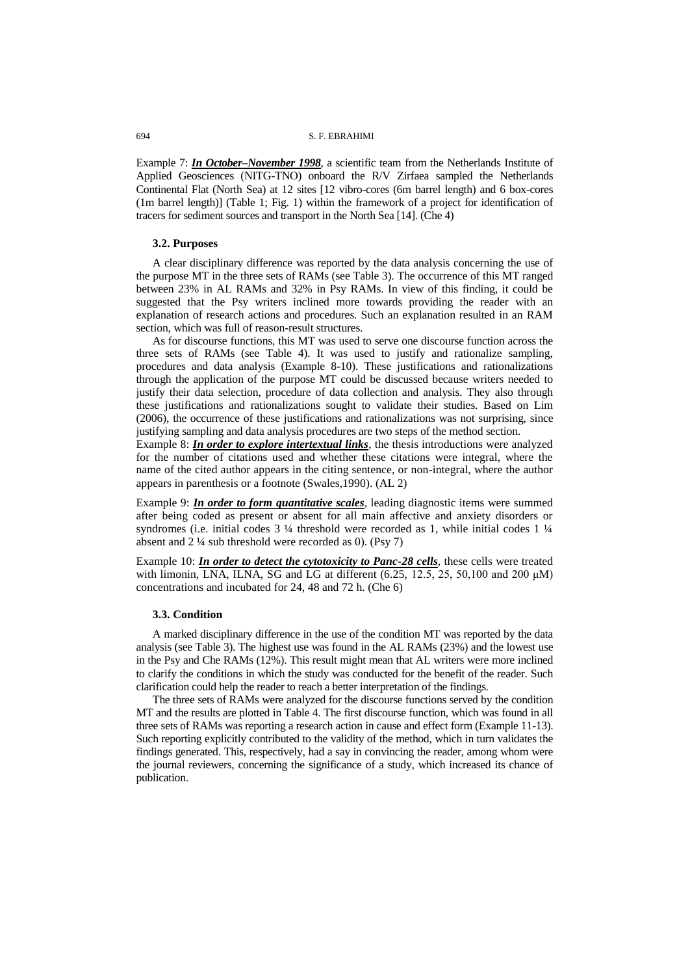Example 7: *In October–November 1998*, a scientific team from the Netherlands Institute of Applied Geosciences (NITG-TNO) onboard the R/V Zirfaea sampled the Netherlands Continental Flat (North Sea) at 12 sites [12 vibro-cores (6m barrel length) and 6 box-cores (1m barrel length)] (Table 1; Fig. 1) within the framework of a project for identification of tracers for sediment sources and transport in the North Sea [14]. (Che 4)

## **3.2. Purposes**

A clear disciplinary difference was reported by the data analysis concerning the use of the purpose MT in the three sets of RAMs (see Table 3). The occurrence of this MT ranged between 23% in AL RAMs and 32% in Psy RAMs. In view of this finding, it could be suggested that the Psy writers inclined more towards providing the reader with an explanation of research actions and procedures. Such an explanation resulted in an RAM section, which was full of reason-result structures.

As for discourse functions, this MT was used to serve one discourse function across the three sets of RAMs (see Table 4). It was used to justify and rationalize sampling, procedures and data analysis (Example 8-10). These justifications and rationalizations through the application of the purpose MT could be discussed because writers needed to justify their data selection, procedure of data collection and analysis. They also through these justifications and rationalizations sought to validate their studies. Based on Lim (2006), the occurrence of these justifications and rationalizations was not surprising, since justifying sampling and data analysis procedures are two steps of the method section.

Example 8: *In order to explore intertextual links*, the thesis introductions were analyzed for the number of citations used and whether these citations were integral, where the name of the cited author appears in the citing sentence, or non-integral, where the author appears in parenthesis or a footnote (Swales,1990). (AL 2)

Example 9: *In order to form quantitative scales*, leading diagnostic items were summed after being coded as present or absent for all main affective and anxiety disorders or syndromes (i.e. initial codes 3 ¼ threshold were recorded as 1, while initial codes 1 ¼ absent and 2 ¼ sub threshold were recorded as 0). (Psy 7)

Example 10: *In order to detect the cytotoxicity to Panc-28 cells*, these cells were treated with limonin, LNA, ILNA, SG and LG at different (6.25, 12.5, 25, 50,100 and 200 μM) concentrations and incubated for 24, 48 and 72 h. (Che 6)

## **3.3. Condition**

A marked disciplinary difference in the use of the condition MT was reported by the data analysis (see Table 3). The highest use was found in the AL RAMs (23%) and the lowest use in the Psy and Che RAMs (12%). This result might mean that AL writers were more inclined to clarify the conditions in which the study was conducted for the benefit of the reader. Such clarification could help the reader to reach a better interpretation of the findings.

The three sets of RAMs were analyzed for the discourse functions served by the condition MT and the results are plotted in Table 4. The first discourse function, which was found in all three sets of RAMs was reporting a research action in cause and effect form (Example 11-13). Such reporting explicitly contributed to the validity of the method, which in turn validates the findings generated. This, respectively, had a say in convincing the reader, among whom were the journal reviewers, concerning the significance of a study, which increased its chance of publication.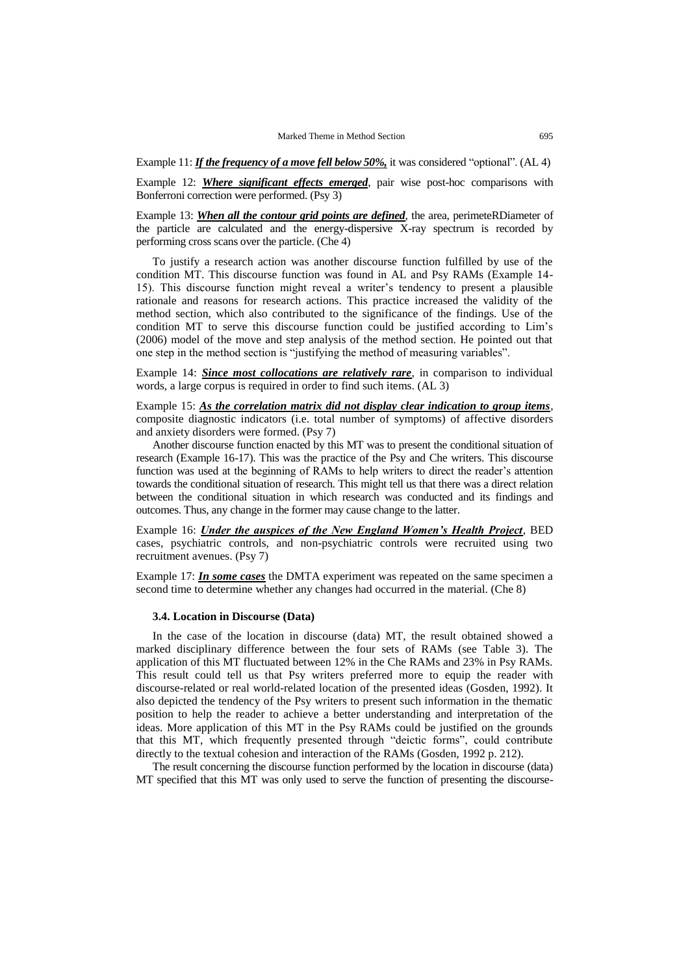Example 11: *If the frequency of a move fell below 50%,* it was considered "optional". (AL 4)

Example 12: *Where significant effects emerged*, pair wise post-hoc comparisons with Bonferroni correction were performed. (Psy 3)

Example 13: *When all the contour grid points are defined*, the area, perimeteRDiameter of the particle are calculated and the energy-dispersive X-ray spectrum is recorded by performing cross scans over the particle. (Che 4)

To justify a research action was another discourse function fulfilled by use of the condition MT. This discourse function was found in AL and Psy RAMs (Example 14- 15). This discourse function might reveal a writer's tendency to present a plausible rationale and reasons for research actions. This practice increased the validity of the method section, which also contributed to the significance of the findings. Use of the condition MT to serve this discourse function could be justified according to Lim's (2006) model of the move and step analysis of the method section. He pointed out that one step in the method section is "justifying the method of measuring variables".

Example 14: *Since most collocations are relatively rare*, in comparison to individual words, a large corpus is required in order to find such items. (AL 3)

Example 15: *As the correlation matrix did not display clear indication to group items*, composite diagnostic indicators (i.e. total number of symptoms) of affective disorders and anxiety disorders were formed. (Psy 7)

Another discourse function enacted by this MT was to present the conditional situation of research (Example 16-17). This was the practice of the Psy and Che writers. This discourse function was used at the beginning of RAMs to help writers to direct the reader's attention towards the conditional situation of research. This might tell us that there was a direct relation between the conditional situation in which research was conducted and its findings and outcomes. Thus, any change in the former may cause change to the latter.

Example 16: *Under the auspices of the New England Women's Health Project*, BED cases, psychiatric controls, and non-psychiatric controls were recruited using two recruitment avenues. (Psy 7)

Example 17: *In some cases* the DMTA experiment was repeated on the same specimen a second time to determine whether any changes had occurred in the material. (Che 8)

#### **3.4. Location in Discourse (Data)**

In the case of the location in discourse (data) MT, the result obtained showed a marked disciplinary difference between the four sets of RAMs (see Table 3). The application of this MT fluctuated between 12% in the Che RAMs and 23% in Psy RAMs. This result could tell us that Psy writers preferred more to equip the reader with discourse-related or real world-related location of the presented ideas (Gosden, 1992). It also depicted the tendency of the Psy writers to present such information in the thematic position to help the reader to achieve a better understanding and interpretation of the ideas. More application of this MT in the Psy RAMs could be justified on the grounds that this MT, which frequently presented through "deictic forms", could contribute directly to the textual cohesion and interaction of the RAMs (Gosden, 1992 p. 212).

The result concerning the discourse function performed by the location in discourse (data) MT specified that this MT was only used to serve the function of presenting the discourse-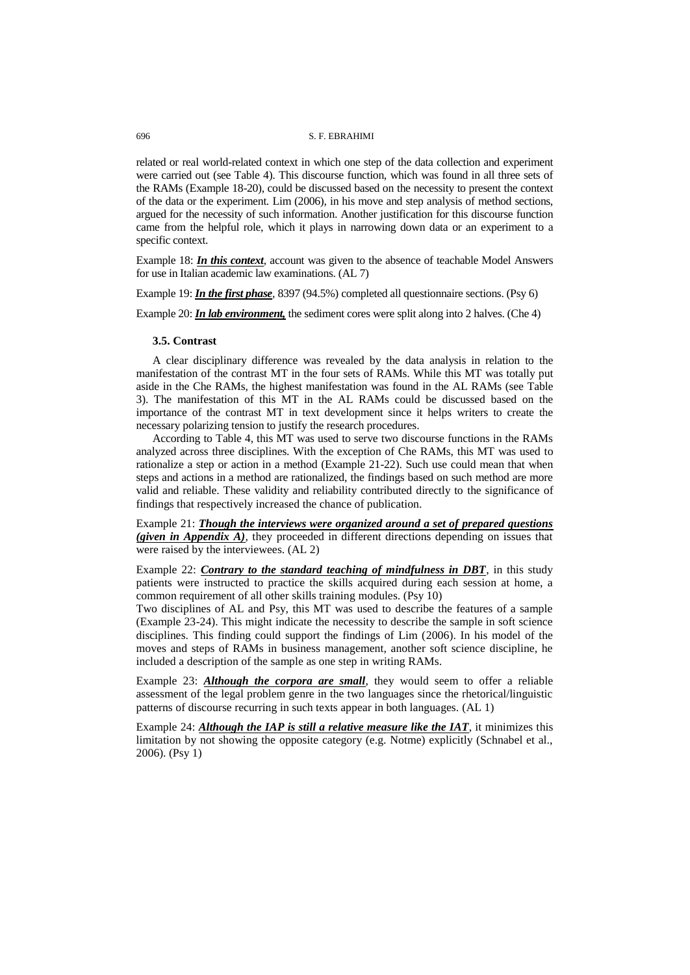related or real world-related context in which one step of the data collection and experiment were carried out (see Table 4). This discourse function, which was found in all three sets of the RAMs (Example 18-20), could be discussed based on the necessity to present the context of the data or the experiment. Lim (2006), in his move and step analysis of method sections, argued for the necessity of such information. Another justification for this discourse function came from the helpful role, which it plays in narrowing down data or an experiment to a specific context.

Example 18: *In this context*, account was given to the absence of teachable Model Answers for use in Italian academic law examinations. (AL 7)

Example 19: *In the first phase*, 8397 (94.5%) completed all questionnaire sections. (Psy 6)

Example 20: *In lab environment*, the sediment cores were split along into 2 halves. (Che 4)

#### **3.5. Contrast**

A clear disciplinary difference was revealed by the data analysis in relation to the manifestation of the contrast MT in the four sets of RAMs. While this MT was totally put aside in the Che RAMs, the highest manifestation was found in the AL RAMs (see Table 3). The manifestation of this MT in the AL RAMs could be discussed based on the importance of the contrast MT in text development since it helps writers to create the necessary polarizing tension to justify the research procedures.

According to Table 4, this MT was used to serve two discourse functions in the RAMs analyzed across three disciplines. With the exception of Che RAMs, this MT was used to rationalize a step or action in a method (Example 21-22). Such use could mean that when steps and actions in a method are rationalized, the findings based on such method are more valid and reliable. These validity and reliability contributed directly to the significance of findings that respectively increased the chance of publication.

Example 21: *Though the interviews were organized around a set of prepared questions (given in Appendix A)*, they proceeded in different directions depending on issues that were raised by the interviewees. (AL 2)

Example 22: *Contrary to the standard teaching of mindfulness in DBT*, in this study patients were instructed to practice the skills acquired during each session at home, a common requirement of all other skills training modules. (Psy 10)

Two disciplines of AL and Psy, this MT was used to describe the features of a sample (Example 23-24). This might indicate the necessity to describe the sample in soft science disciplines. This finding could support the findings of Lim (2006). In his model of the moves and steps of RAMs in business management, another soft science discipline, he included a description of the sample as one step in writing RAMs.

Example 23: *Although the corpora are small*, they would seem to offer a reliable assessment of the legal problem genre in the two languages since the rhetorical/linguistic patterns of discourse recurring in such texts appear in both languages. (AL 1)

Example 24: *Although the IAP is still a relative measure like the IAT*, it minimizes this limitation by not showing the opposite category (e.g. Notme) explicitly (Schnabel et al., 2006). (Psy 1)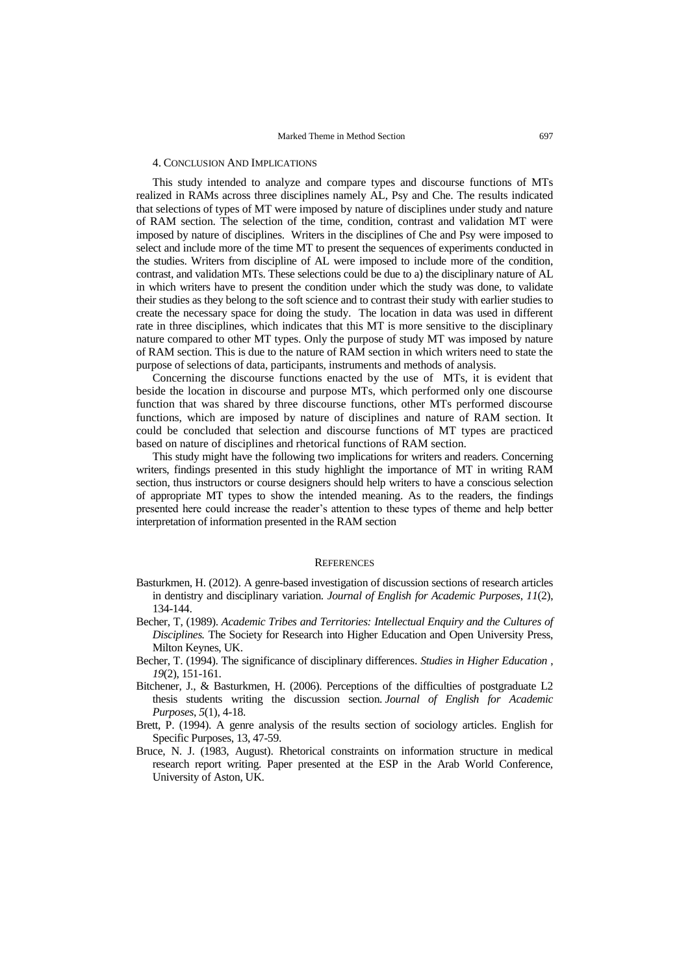### 4. CONCLUSION AND IMPLICATIONS

This study intended to analyze and compare types and discourse functions of MTs realized in RAMs across three disciplines namely AL, Psy and Che. The results indicated that selections of types of MT were imposed by nature of disciplines under study and nature of RAM section. The selection of the time, condition, contrast and validation MT were imposed by nature of disciplines. Writers in the disciplines of Che and Psy were imposed to select and include more of the time MT to present the sequences of experiments conducted in the studies. Writers from discipline of AL were imposed to include more of the condition, contrast, and validation MTs. These selections could be due to a) the disciplinary nature of AL in which writers have to present the condition under which the study was done, to validate their studies as they belong to the soft science and to contrast their study with earlier studies to create the necessary space for doing the study. The location in data was used in different rate in three disciplines, which indicates that this MT is more sensitive to the disciplinary nature compared to other MT types. Only the purpose of study MT was imposed by nature of RAM section. This is due to the nature of RAM section in which writers need to state the purpose of selections of data, participants, instruments and methods of analysis.

Concerning the discourse functions enacted by the use of MTs, it is evident that beside the location in discourse and purpose MTs, which performed only one discourse function that was shared by three discourse functions, other MTs performed discourse functions, which are imposed by nature of disciplines and nature of RAM section. It could be concluded that selection and discourse functions of MT types are practiced based on nature of disciplines and rhetorical functions of RAM section.

This study might have the following two implications for writers and readers. Concerning writers, findings presented in this study highlight the importance of MT in writing RAM section, thus instructors or course designers should help writers to have a conscious selection of appropriate MT types to show the intended meaning. As to the readers, the findings presented here could increase the reader's attention to these types of theme and help better interpretation of information presented in the RAM section

## **REFERENCES**

- Basturkmen, H. (2012). A genre-based investigation of discussion sections of research articles in dentistry and disciplinary variation. *Journal of English for Academic Purposes*, *11*(2), 134-144.
- Becher, T, (1989). *Academic Tribes and Territories: Intellectual Enquiry and the Cultures of Disciplines.* The Society for Research into Higher Education and Open University Press, Milton Keynes, UK.
- Becher, T. (1994). The significance of disciplinary differences. *Studies in Higher Education* , *19*(2), 151-161.
- Bitchener, J., & Basturkmen, H. (2006). Perceptions of the difficulties of postgraduate L2 thesis students writing the discussion section. *Journal of English for Academic Purposes*, *5*(1), 4-18.
- Brett, P. (1994). A genre analysis of the results section of sociology articles. English for Specific Purposes, 13, 47-59.
- Bruce, N. J. (1983, August). Rhetorical constraints on information structure in medical research report writing. Paper presented at the ESP in the Arab World Conference, University of Aston, UK.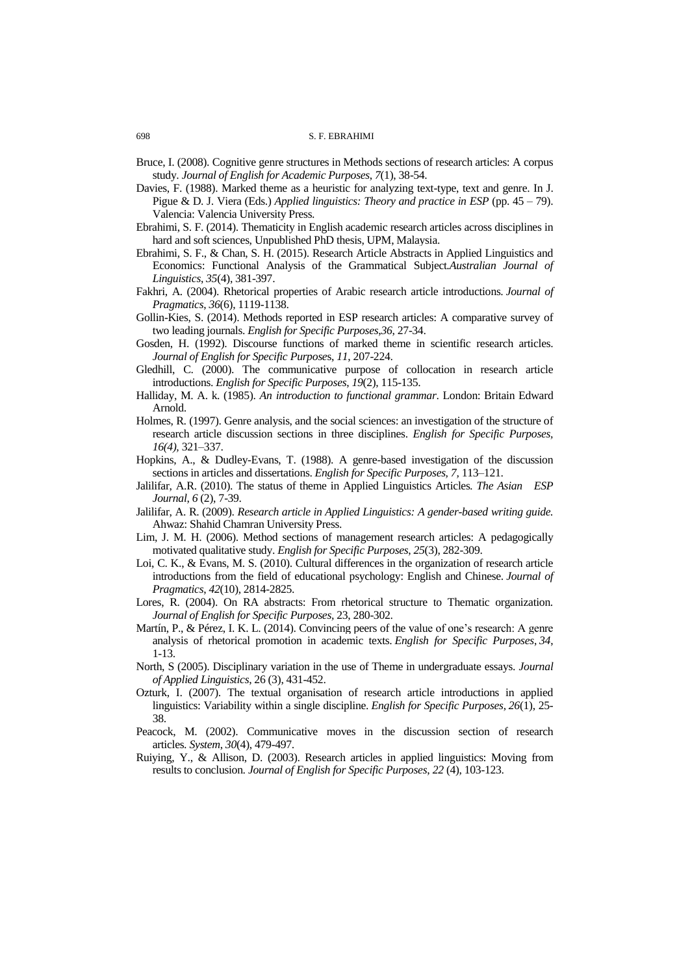- Bruce, I. (2008). Cognitive genre structures in Methods sections of research articles: A corpus study. *Journal of English for Academic Purposes*, *7*(1), 38-54.
- Davies, F. (1988). Marked theme as a heuristic for analyzing text-type, text and genre. In J. Pigue & D. J. Viera (Eds.) *Applied linguistics: Theory and practice in ESP* (pp. 45 – 79). Valencia: Valencia University Press.
- Ebrahimi, S. F. (2014). Thematicity in English academic research articles across disciplines in hard and soft sciences, Unpublished PhD thesis, UPM, Malaysia.
- Ebrahimi, S. F., & Chan, S. H. (2015). Research Article Abstracts in Applied Linguistics and Economics: Functional Analysis of the Grammatical Subject.*Australian Journal of Linguistics*, *35*(4), 381-397.
- Fakhri, A. (2004). Rhetorical properties of Arabic research article introductions. *Journal of Pragmatics*, *36*(6), 1119-1138.
- Gollin-Kies, S. (2014). Methods reported in ESP research articles: A comparative survey of two leading journals. *English for Specific Purposes*,*36*, 27-34.
- Gosden, H. (1992). Discourse functions of marked theme in scientific research articles. *Journal of English for Specific Purpose*s, *11*, 207-224.
- Gledhill, C. (2000). The communicative purpose of collocation in research article introductions. *English for Specific Purposes*, *19*(2), 115-135.
- Halliday, M. A. k. (1985). *An introduction to functional grammar*. London: Britain Edward Arnold.
- Holmes, R. (1997). Genre analysis, and the social sciences: an investigation of the structure of research article discussion sections in three disciplines. *English for Specific Purposes, 16(4),* 321–337.
- Hopkins, A., & Dudley-Evans, T. (1988). A genre-based investigation of the discussion sections in articles and dissertations. *English for Specific Purposes, 7,* 113–121.
- Jalilifar, A.R. (2010). The status of theme in Applied Linguistics Articles*. The Asian ESP Journal*, *6* (2), 7-39.
- Jalilifar, A. R. (2009). *Research article in Applied Linguistics: A gender-based writing guide.*  Ahwaz: Shahid Chamran University Press.
- Lim, J. M. H. (2006). Method sections of management research articles: A pedagogically motivated qualitative study. *English for Specific Purposes*, *25*(3), 282-309.
- Loi, C. K., & Evans, M. S. (2010). Cultural differences in the organization of research article introductions from the field of educational psychology: English and Chinese. *Journal of Pragmatics*, *42*(10), 2814-2825.
- Lores, R. (2004). On RA abstracts: From rhetorical structure to Thematic organization. *Journal of English for Specific Purposes,* 23, 280-302.
- Martín, P., & Pérez, I. K. L. (2014). Convincing peers of the value of one's research: A genre analysis of rhetorical promotion in academic texts. *English for Specific Purposes*, *34*, 1-13.
- North, S (2005). Disciplinary variation in the use of Theme in undergraduate essays. *Journal of Applied Linguistics*, 26 (3), 431-452.
- Ozturk, I. (2007). The textual organisation of research article introductions in applied linguistics: Variability within a single discipline. *English for Specific Purposes*, *26*(1), 25- 38.
- Peacock, M. (2002). Communicative moves in the discussion section of research articles. *System*, *30*(4), 479-497.
- Ruiying, Y., & Allison, D. (2003). Research articles in applied linguistics: Moving from results to conclusion. *Journal of English for Specific Purposes*, *22* (4), 103-123.